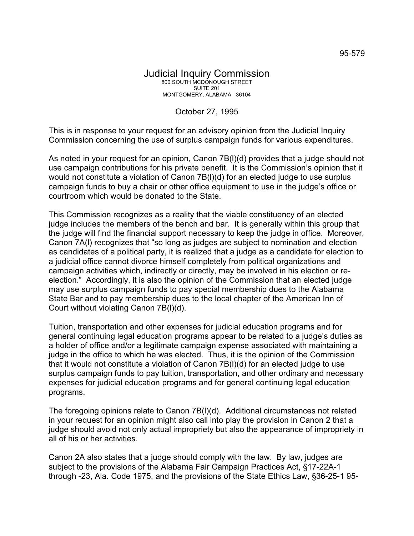October 27, 1995

This is in response to your request for an advisory opinion from the Judicial Inquiry Commission concerning the use of surplus campaign funds for various expenditures.

As noted in your request for an opinion, Canon 7B(l)(d) provides that a judge should not use campaign contributions for his private benefit. It is the Commission's opinion that it would not constitute a violation of Canon 7B(l)(d) for an elected judge to use surplus campaign funds to buy a chair or other office equipment to use in the judge's office or courtroom which would be donated to the State.

This Commission recognizes as a reality that the viable constituency of an elected judge includes the members of the bench and bar. It is generally within this group that the judge will find the financial support necessary to keep the judge in office. Moreover, Canon 7A(l) recognizes that "so long as judges are subject to nomination and election as candidates of a political party, it is realized that a judge as a candidate for election to a judicial office cannot divorce himself completely from political organizations and campaign activities which, indirectly or directly, may be involved in his election or reelection." Accordingly, it is also the opinion of the Commission that an elected judge may use surplus campaign funds to pay special membership dues to the Alabama State Bar and to pay membership dues to the local chapter of the American Inn of Court without violating Canon 7B(l)(d).

Tuition, transportation and other expenses for judicial education programs and for general continuing legal education programs appear to be related to a judge's duties as a holder of office and/or a legitimate campaign expense associated with maintaining a judge in the office to which he was elected. Thus, it is the opinion of the Commission that it would not constitute a violation of Canon 7B(l)(d) for an elected judge to use surplus campaign funds to pay tuition, transportation, and other ordinary and necessary expenses for judicial education programs and for general continuing legal education programs.

The foregoing opinions relate to Canon 7B(l)(d). Additional circumstances not related in your request for an opinion might also call into play the provision in Canon 2 that a judge should avoid not only actual impropriety but also the appearance of impropriety in all of his or her activities.

Canon 2A also states that a judge should comply with the law. By law, judges are subject to the provisions of the Alabama Fair Campaign Practices Act, §17-22A-1 through -23, Ala. Code 1975, and the provisions of the State Ethics Law, §36-25-1 95